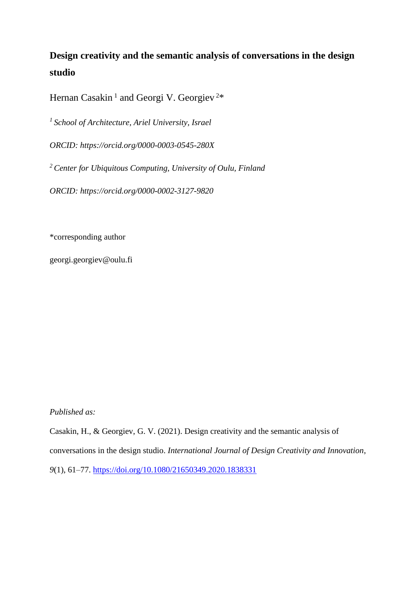# **Design creativity and the semantic analysis of conversations in the design studio**

Hernan Casakin<sup>1</sup> and Georgi V. Georgiev<sup>2\*</sup>

*<sup>1</sup>School of Architecture, Ariel University, Israel*

*ORCID: https://orcid.org/0000-0003-0545-280X*

*<sup>2</sup>Center for Ubiquitous Computing, University of Oulu, Finland*

*ORCID: https://orcid.org/0000-0002-3127-9820*

\*corresponding author

georgi.georgiev@oulu.fi

# *Published as:*

Casakin, H., & Georgiev, G. V. (2021). Design creativity and the semantic analysis of conversations in the design studio. *International Journal of Design Creativity and Innovation*, *9*(1), 61–77.<https://doi.org/10.1080/21650349.2020.1838331>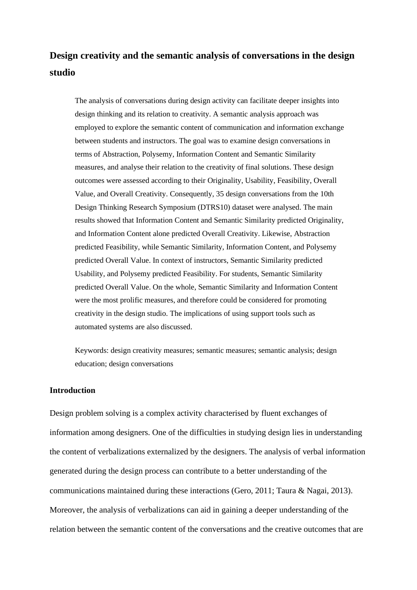# **Design creativity and the semantic analysis of conversations in the design studio**

The analysis of conversations during design activity can facilitate deeper insights into design thinking and its relation to creativity. A semantic analysis approach was employed to explore the semantic content of communication and information exchange between students and instructors. The goal was to examine design conversations in terms of Abstraction, Polysemy, Information Content and Semantic Similarity measures, and analyse their relation to the creativity of final solutions. These design outcomes were assessed according to their Originality, Usability, Feasibility, Overall Value, and Overall Creativity. Consequently, 35 design conversations from the 10th Design Thinking Research Symposium (DTRS10) dataset were analysed. The main results showed that Information Content and Semantic Similarity predicted Originality, and Information Content alone predicted Overall Creativity. Likewise, Abstraction predicted Feasibility, while Semantic Similarity, Information Content, and Polysemy predicted Overall Value. In context of instructors, Semantic Similarity predicted Usability, and Polysemy predicted Feasibility. For students, Semantic Similarity predicted Overall Value. On the whole, Semantic Similarity and Information Content were the most prolific measures, and therefore could be considered for promoting creativity in the design studio. The implications of using support tools such as automated systems are also discussed.

Keywords: design creativity measures; semantic measures; semantic analysis; design education; design conversations

### **Introduction**

Design problem solving is a complex activity characterised by fluent exchanges of information among designers. One of the difficulties in studying design lies in understanding the content of verbalizations externalized by the designers. The analysis of verbal information generated during the design process can contribute to a better understanding of the communications maintained during these interactions (Gero, 2011; Taura & Nagai, 2013). Moreover, the analysis of verbalizations can aid in gaining a deeper understanding of the relation between the semantic content of the conversations and the creative outcomes that are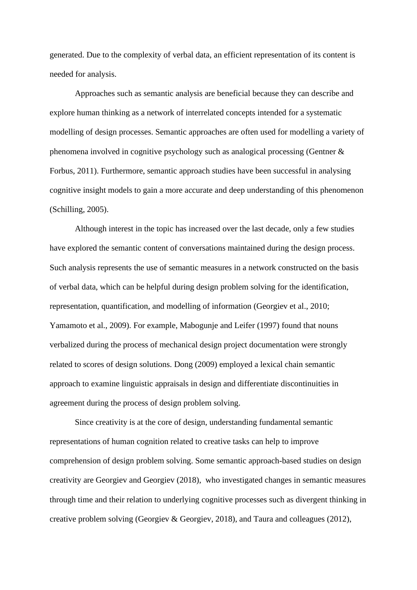generated. Due to the complexity of verbal data, an efficient representation of its content is needed for analysis.

Approaches such as semantic analysis are beneficial because they can describe and explore human thinking as a network of interrelated concepts intended for a systematic modelling of design processes. Semantic approaches are often used for modelling a variety of phenomena involved in cognitive psychology such as analogical processing (Gentner & Forbus, 2011). Furthermore, semantic approach studies have been successful in analysing cognitive insight models to gain a more accurate and deep understanding of this phenomenon (Schilling, 2005).

Although interest in the topic has increased over the last decade, only a few studies have explored the semantic content of conversations maintained during the design process. Such analysis represents the use of semantic measures in a network constructed on the basis of verbal data, which can be helpful during design problem solving for the identification, representation, quantification, and modelling of information (Georgiev et al., 2010; Yamamoto et al., 2009). For example, Mabogunje and Leifer (1997) found that nouns verbalized during the process of mechanical design project documentation were strongly related to scores of design solutions. Dong (2009) employed a lexical chain semantic approach to examine linguistic appraisals in design and differentiate discontinuities in agreement during the process of design problem solving.

Since creativity is at the core of design, understanding fundamental semantic representations of human cognition related to creative tasks can help to improve comprehension of design problem solving. Some semantic approach-based studies on design creativity are Georgiev and Georgiev (2018), who investigated changes in semantic measures through time and their relation to underlying cognitive processes such as divergent thinking in creative problem solving (Georgiev & Georgiev, 2018), and Taura and colleagues (2012),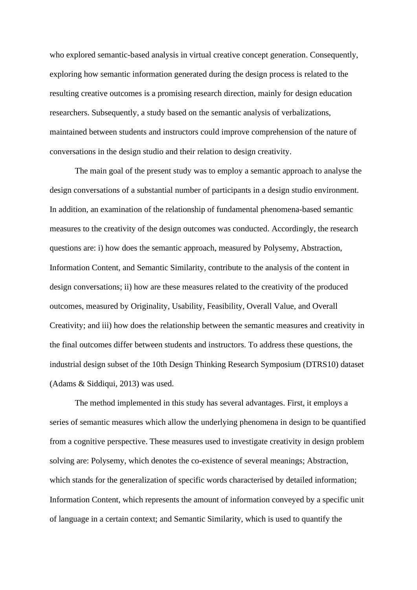who explored semantic-based analysis in virtual creative concept generation. Consequently, exploring how semantic information generated during the design process is related to the resulting creative outcomes is a promising research direction, mainly for design education researchers. Subsequently, a study based on the semantic analysis of verbalizations, maintained between students and instructors could improve comprehension of the nature of conversations in the design studio and their relation to design creativity.

The main goal of the present study was to employ a semantic approach to analyse the design conversations of a substantial number of participants in a design studio environment. In addition, an examination of the relationship of fundamental phenomena-based semantic measures to the creativity of the design outcomes was conducted. Accordingly, the research questions are: i) how does the semantic approach, measured by Polysemy, Abstraction, Information Content, and Semantic Similarity, contribute to the analysis of the content in design conversations; ii) how are these measures related to the creativity of the produced outcomes, measured by Originality, Usability, Feasibility, Overall Value, and Overall Creativity; and iii) how does the relationship between the semantic measures and creativity in the final outcomes differ between students and instructors. To address these questions, the industrial design subset of the 10th Design Thinking Research Symposium (DTRS10) dataset (Adams & Siddiqui, 2013) was used.

The method implemented in this study has several advantages. First, it employs a series of semantic measures which allow the underlying phenomena in design to be quantified from a cognitive perspective. These measures used to investigate creativity in design problem solving are: Polysemy, which denotes the co-existence of several meanings; Abstraction, which stands for the generalization of specific words characterised by detailed information; Information Content, which represents the amount of information conveyed by a specific unit of language in a certain context; and Semantic Similarity, which is used to quantify the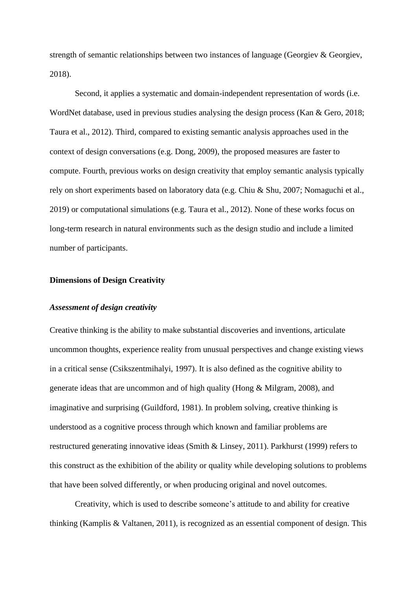strength of semantic relationships between two instances of language (Georgiev & Georgiev, 2018).

Second, it applies a systematic and domain-independent representation of words (i.e. WordNet database, used in previous studies analysing the design process (Kan & Gero, 2018; Taura et al., 2012). Third, compared to existing semantic analysis approaches used in the context of design conversations (e.g. Dong, 2009), the proposed measures are faster to compute. Fourth, previous works on design creativity that employ semantic analysis typically rely on short experiments based on laboratory data (e.g. Chiu & Shu, 2007; Nomaguchi et al., 2019) or computational simulations (e.g. Taura et al., 2012). None of these works focus on long-term research in natural environments such as the design studio and include a limited number of participants.

#### **Dimensions of Design Creativity**

#### *Assessment of design creativity*

Creative thinking is the ability to make substantial discoveries and inventions, articulate uncommon thoughts, experience reality from unusual perspectives and change existing views in a critical sense (Csikszentmihalyi, 1997). It is also defined as the cognitive ability to generate ideas that are uncommon and of high quality (Hong & Milgram, 2008), and imaginative and surprising (Guildford, 1981). In problem solving, creative thinking is understood as a cognitive process through which known and familiar problems are restructured generating innovative ideas (Smith & Linsey, 2011). Parkhurst (1999) refers to this construct as the exhibition of the ability or quality while developing solutions to problems that have been solved differently, or when producing original and novel outcomes.

Creativity, which is used to describe someone's attitude to and ability for creative thinking (Kamplis & Valtanen, 2011), is recognized as an essential component of design. This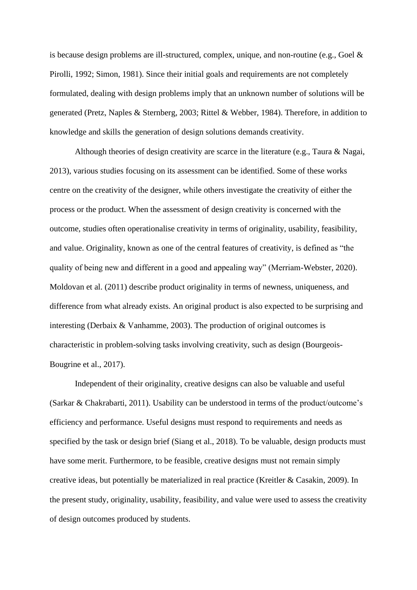is because design problems are ill-structured, complex, unique, and non-routine (e.g., Goel & Pirolli, 1992; Simon, 1981). Since their initial goals and requirements are not completely formulated, dealing with design problems imply that an unknown number of solutions will be generated (Pretz, Naples & Sternberg, 2003; Rittel & Webber, 1984). Therefore, in addition to knowledge and skills the generation of design solutions demands creativity.

Although theories of design creativity are scarce in the literature (e.g., Taura & Nagai, 2013), various studies focusing on its assessment can be identified. Some of these works centre on the creativity of the designer, while others investigate the creativity of either the process or the product. When the assessment of design creativity is concerned with the outcome, studies often operationalise creativity in terms of originality, usability, feasibility, and value. Originality, known as one of the central features of creativity, is defined as "the quality of being new and different in a good and appealing way" (Merriam-Webster, 2020). Moldovan et al. (2011) describe product originality in terms of newness, uniqueness, and difference from what already exists. An original product is also expected to be surprising and interesting (Derbaix & Vanhamme, 2003). The production of original outcomes is characteristic in problem-solving tasks involving creativity, such as design (Bourgeois-Bougrine et al., 2017).

Independent of their originality, creative designs can also be valuable and useful (Sarkar & Chakrabarti, 2011). Usability can be understood in terms of the product/outcome's efficiency and performance. Useful designs must respond to requirements and needs as specified by the task or design brief (Siang et al., 2018). To be valuable, design products must have some merit. Furthermore, to be feasible, creative designs must not remain simply creative ideas, but potentially be materialized in real practice (Kreitler & Casakin, 2009). In the present study, originality, usability, feasibility, and value were used to assess the creativity of design outcomes produced by students.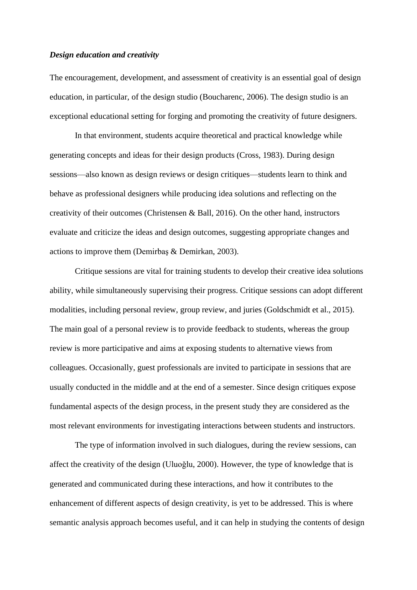#### *Design education and creativity*

The encouragement, development, and assessment of creativity is an essential goal of design education, in particular, of the design studio (Boucharenc, 2006). The design studio is an exceptional educational setting for forging and promoting the creativity of future designers.

In that environment, students acquire theoretical and practical knowledge while generating concepts and ideas for their design products (Cross, 1983). During design sessions—also known as design reviews or design critiques—students learn to think and behave as professional designers while producing idea solutions and reflecting on the creativity of their outcomes (Christensen & Ball, 2016). On the other hand, instructors evaluate and criticize the ideas and design outcomes, suggesting appropriate changes and actions to improve them (Demirbaş & Demirkan, 2003).

Critique sessions are vital for training students to develop their creative idea solutions ability, while simultaneously supervising their progress. Critique sessions can adopt different modalities, including personal review, group review, and juries (Goldschmidt et al., 2015). The main goal of a personal review is to provide feedback to students, whereas the group review is more participative and aims at exposing students to alternative views from colleagues. Occasionally, guest professionals are invited to participate in sessions that are usually conducted in the middle and at the end of a semester. Since design critiques expose fundamental aspects of the design process, in the present study they are considered as the most relevant environments for investigating interactions between students and instructors.

The type of information involved in such dialogues, during the review sessions, can affect the creativity of the design (Uluoǧlu, 2000). However, the type of knowledge that is generated and communicated during these interactions, and how it contributes to the enhancement of different aspects of design creativity, is yet to be addressed. This is where semantic analysis approach becomes useful, and it can help in studying the contents of design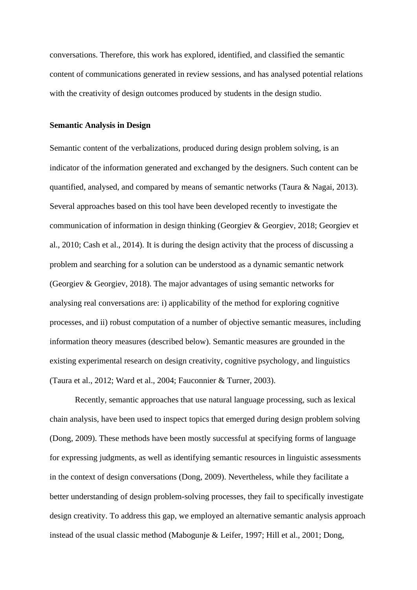conversations. Therefore, this work has explored, identified, and classified the semantic content of communications generated in review sessions, and has analysed potential relations with the creativity of design outcomes produced by students in the design studio.

#### **Semantic Analysis in Design**

Semantic content of the verbalizations, produced during design problem solving, is an indicator of the information generated and exchanged by the designers. Such content can be quantified, analysed, and compared by means of semantic networks (Taura  $\&$  Nagai, 2013). Several approaches based on this tool have been developed recently to investigate the communication of information in design thinking (Georgiev & Georgiev, 2018; Georgiev et al., 2010; Cash et al., 2014). It is during the design activity that the process of discussing a problem and searching for a solution can be understood as a dynamic semantic network (Georgiev & Georgiev, 2018). The major advantages of using semantic networks for analysing real conversations are: i) applicability of the method for exploring cognitive processes, and ii) robust computation of a number of objective semantic measures, including information theory measures (described below). Semantic measures are grounded in the existing experimental research on design creativity, cognitive psychology, and linguistics (Taura et al., 2012; Ward et al., 2004; Fauconnier & Turner, 2003).

Recently, semantic approaches that use natural language processing, such as lexical chain analysis, have been used to inspect topics that emerged during design problem solving (Dong, 2009). These methods have been mostly successful at specifying forms of language for expressing judgments, as well as identifying semantic resources in linguistic assessments in the context of design conversations (Dong, 2009). Nevertheless, while they facilitate a better understanding of design problem-solving processes, they fail to specifically investigate design creativity. To address this gap, we employed an alternative semantic analysis approach instead of the usual classic method (Mabogunje & Leifer, 1997; Hill et al., 2001; Dong,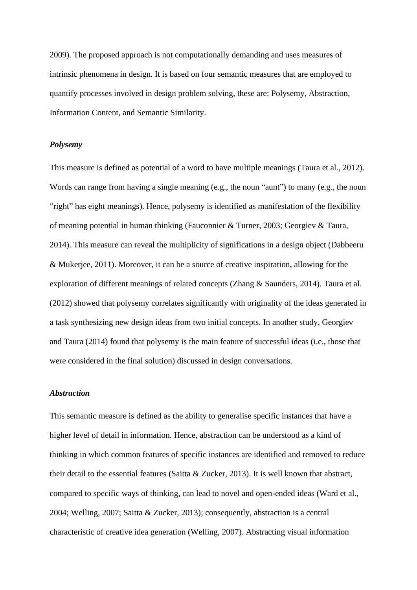2009). The proposed approach is not computationally demanding and uses measures of intrinsic phenomena in design. It is based on four semantic measures that are employed to quantify processes involved in design problem solving, these are: Polysemy, Abstraction, Information Content, and Semantic Similarity.

#### *Polysemy*

This measure is defined as potential of a word to have multiple meanings (Taura et al., 2012). Words can range from having a single meaning (e.g., the noun "aunt") to many (e.g., the noun "right" has eight meanings). Hence, polysemy is identified as manifestation of the flexibility of meaning potential in human thinking (Fauconnier & Turner, 2003; Georgiev & Taura, 2014). This measure can reveal the multiplicity of significations in a design object (Dabbeeru & Mukerjee, 2011). Moreover, it can be a source of creative inspiration, allowing for the exploration of different meanings of related concepts (Zhang & Saunders, 2014). Taura et al. (2012) showed that polysemy correlates significantly with originality of the ideas generated in a task synthesizing new design ideas from two initial concepts. In another study, Georgiev and Taura (2014) found that polysemy is the main feature of successful ideas (i.e., those that were considered in the final solution) discussed in design conversations.

#### *Abstraction*

This semantic measure is defined as the ability to generalise specific instances that have a higher level of detail in information. Hence, abstraction can be understood as a kind of thinking in which common features of specific instances are identified and removed to reduce their detail to the essential features (Saitta & Zucker, 2013). It is well known that abstract, compared to specific ways of thinking, can lead to novel and open-ended ideas (Ward et al., 2004; Welling, 2007; Saitta & Zucker, 2013); consequently, abstraction is a central characteristic of creative idea generation (Welling, 2007). Abstracting visual information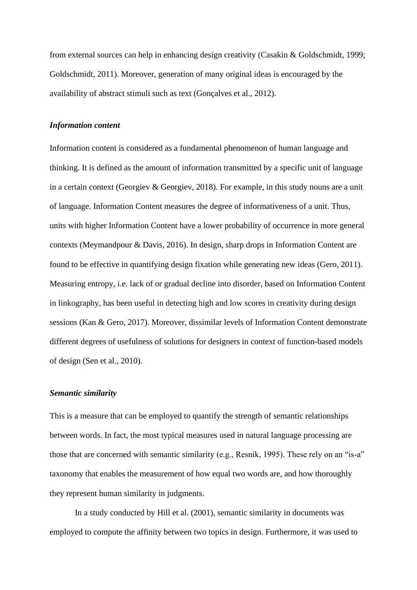from external sources can help in enhancing design creativity (Casakin & Goldschmidt, 1999; Goldschmidt, 2011). Moreover, generation of many original ideas is encouraged by the availability of abstract stimuli such as text (Gonçalves et al., 2012).

#### *Information content*

Information content is considered as a fundamental phenomenon of human language and thinking. It is defined as the amount of information transmitted by a specific unit of language in a certain context (Georgiev & Georgiev, 2018). For example, in this study nouns are a unit of language. Information Content measures the degree of informativeness of a unit. Thus, units with higher Information Content have a lower probability of occurrence in more general contexts (Meymandpour & Davis, 2016). In design, sharp drops in Information Content are found to be effective in quantifying design fixation while generating new ideas (Gero, 2011). Measuring entropy, i.e. lack of or gradual decline into disorder, based on Information Content in linkography, has been useful in detecting high and low scores in creativity during design sessions (Kan & Gero, 2017). Moreover, dissimilar levels of Information Content demonstrate different degrees of usefulness of solutions for designers in context of function-based models of design (Sen et al., 2010).

#### *Semantic similarity*

This is a measure that can be employed to quantify the strength of semantic relationships between words. In fact, the most typical measures used in natural language processing are those that are concerned with semantic similarity (e.g., Resnik, 1995). These rely on an "is-a" taxonomy that enables the measurement of how equal two words are, and how thoroughly they represent human similarity in judgments.

In a study conducted by Hill et al. (2001), semantic similarity in documents was employed to compute the affinity between two topics in design. Furthermore, it was used to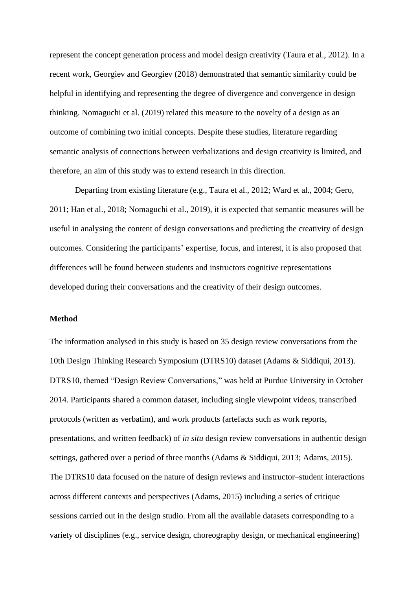represent the concept generation process and model design creativity (Taura et al., 2012). In a recent work, Georgiev and Georgiev (2018) demonstrated that semantic similarity could be helpful in identifying and representing the degree of divergence and convergence in design thinking. Nomaguchi et al. (2019) related this measure to the novelty of a design as an outcome of combining two initial concepts. Despite these studies, literature regarding semantic analysis of connections between verbalizations and design creativity is limited, and therefore, an aim of this study was to extend research in this direction.

Departing from existing literature (e.g., Taura et al., 2012; Ward et al., 2004; Gero, 2011; Han et al., 2018; Nomaguchi et al., 2019), it is expected that semantic measures will be useful in analysing the content of design conversations and predicting the creativity of design outcomes. Considering the participants' expertise, focus, and interest, it is also proposed that differences will be found between students and instructors cognitive representations developed during their conversations and the creativity of their design outcomes.

#### **Method**

The information analysed in this study is based on 35 design review conversations from the 10th Design Thinking Research Symposium (DTRS10) dataset (Adams & Siddiqui, 2013). DTRS10, themed "Design Review Conversations," was held at Purdue University in October 2014. Participants shared a common dataset, including single viewpoint videos, transcribed protocols (written as verbatim), and work products (artefacts such as work reports, presentations, and written feedback) of *in situ* design review conversations in authentic design settings, gathered over a period of three months (Adams & Siddiqui, 2013; Adams, 2015). The DTRS10 data focused on the nature of design reviews and instructor–student interactions across different contexts and perspectives (Adams, 2015) including a series of critique sessions carried out in the design studio. From all the available datasets corresponding to a variety of disciplines (e.g., service design, choreography design, or mechanical engineering)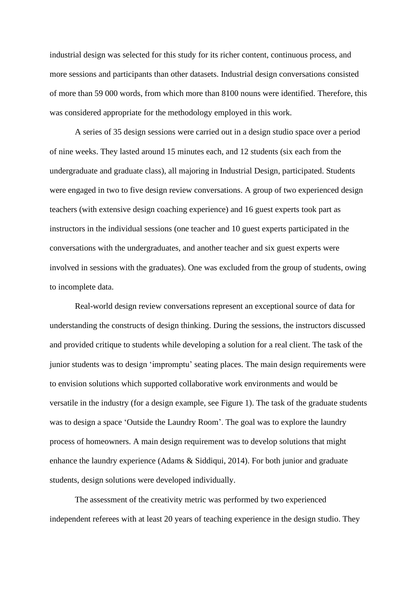industrial design was selected for this study for its richer content, continuous process, and more sessions and participants than other datasets. Industrial design conversations consisted of more than 59 000 words, from which more than 8100 nouns were identified. Therefore, this was considered appropriate for the methodology employed in this work.

A series of 35 design sessions were carried out in a design studio space over a period of nine weeks. They lasted around 15 minutes each, and 12 students (six each from the undergraduate and graduate class), all majoring in Industrial Design, participated. Students were engaged in two to five design review conversations. A group of two experienced design teachers (with extensive design coaching experience) and 16 guest experts took part as instructors in the individual sessions (one teacher and 10 guest experts participated in the conversations with the undergraduates, and another teacher and six guest experts were involved in sessions with the graduates). One was excluded from the group of students, owing to incomplete data.

Real-world design review conversations represent an exceptional source of data for understanding the constructs of design thinking. During the sessions, the instructors discussed and provided critique to students while developing a solution for a real client. The task of the junior students was to design 'impromptu' seating places. The main design requirements were to envision solutions which supported collaborative work environments and would be versatile in the industry (for a design example, see Figure 1). The task of the graduate students was to design a space 'Outside the Laundry Room'. The goal was to explore the laundry process of homeowners. A main design requirement was to develop solutions that might enhance the laundry experience (Adams & Siddiqui, 2014). For both junior and graduate students, design solutions were developed individually.

The assessment of the creativity metric was performed by two experienced independent referees with at least 20 years of teaching experience in the design studio. They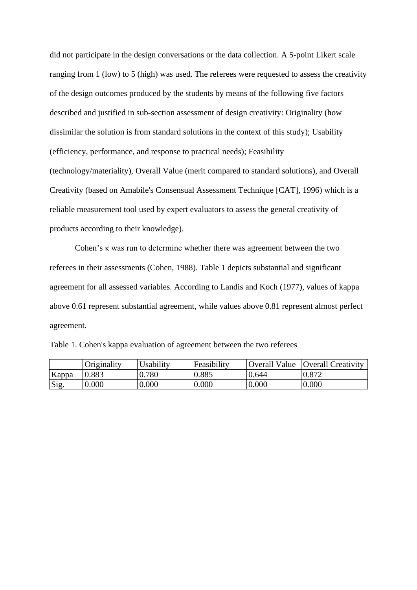did not participate in the design conversations or the data collection. A 5-point Likert scale ranging from 1 (low) to 5 (high) was used. The referees were requested to assess the creativity of the design outcomes produced by the students by means of the following five factors described and justified in sub-section assessment of design creativity: Originality (how dissimilar the solution is from standard solutions in the context of this study); Usability (efficiency, performance, and response to practical needs); Feasibility (technology/materiality), Overall Value (merit compared to standard solutions), and Overall Creativity (based on Amabile's Consensual Assessment Technique [CAT], 1996) which is a reliable measurement tool used by expert evaluators to assess the general creativity of products according to their knowledge).

Cohen's κ was run to determine whether there was agreement between the two referees in their assessments (Cohen, 1988). Table 1 depicts substantial and significant agreement for all assessed variables. According to Landis and Koch (1977), values of kappa above 0.61 represent substantial agreement, while values above 0.81 represent almost perfect agreement.

|  |  | Table 1. Cohen's kappa evaluation of agreement between the two referees |  |  |
|--|--|-------------------------------------------------------------------------|--|--|
|  |  |                                                                         |  |  |

|       | Originality | <b>Usability</b> | Feasibility | <b>Overall Value</b> | <b>Overall Creativity</b> |
|-------|-------------|------------------|-------------|----------------------|---------------------------|
| Kappa | 0.883       | 0.780            | 0.885       | 0.644                | 0.872                     |
| Sig.  | 0.000       | 0.000            | 0.000       | 0.000                | 0.000                     |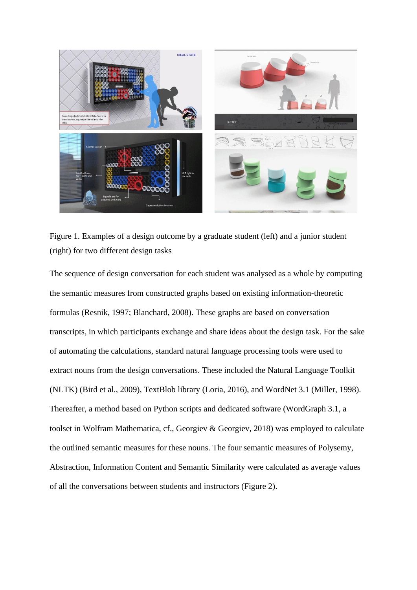

Figure 1. Examples of a design outcome by a graduate student (left) and a junior student (right) for two different design tasks

The sequence of design conversation for each student was analysed as a whole by computing the semantic measures from constructed graphs based on existing information-theoretic formulas (Resnik, 1997; Blanchard, 2008). These graphs are based on conversation transcripts, in which participants exchange and share ideas about the design task. For the sake of automating the calculations, standard natural language processing tools were used to extract nouns from the design conversations. These included the Natural Language Toolkit (NLTK) (Bird et al., 2009), TextBlob library (Loria, 2016), and WordNet 3.1 (Miller, 1998). Thereafter, a method based on Python scripts and dedicated software (WordGraph 3.1, a toolset in Wolfram Mathematica, cf., Georgiev & Georgiev, 2018) was employed to calculate the outlined semantic measures for these nouns. The four semantic measures of Polysemy, Abstraction, Information Content and Semantic Similarity were calculated as average values of all the conversations between students and instructors (Figure 2).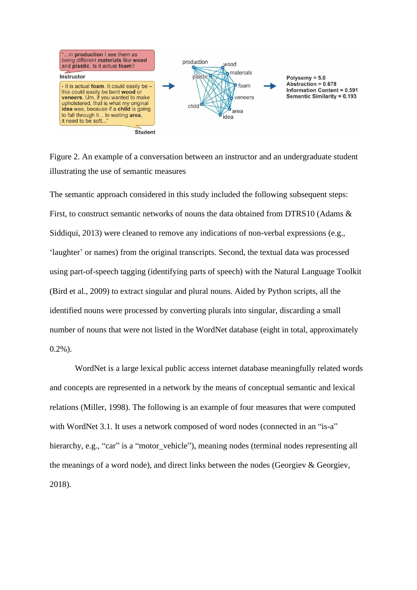

Figure 2. An example of a conversation between an instructor and an undergraduate student illustrating the use of semantic measures

The semantic approach considered in this study included the following subsequent steps: First, to construct semantic networks of nouns the data obtained from DTRS10 (Adams & Siddiqui, 2013) were cleaned to remove any indications of non-verbal expressions (e.g., 'laughter' or names) from the original transcripts. Second, the textual data was processed using part-of-speech tagging (identifying parts of speech) with the Natural Language Toolkit (Bird et al., 2009) to extract singular and plural nouns. Aided by Python scripts, all the identified nouns were processed by converting plurals into singular, discarding a small number of nouns that were not listed in the WordNet database (eight in total, approximately 0.2%).

WordNet is a large lexical public access internet database meaningfully related words and concepts are represented in a network by the means of conceptual semantic and lexical relations (Miller, 1998). The following is an example of four measures that were computed with WordNet 3.1. It uses a network composed of word nodes (connected in an "is-a" hierarchy, e.g., "car" is a "motor\_vehicle"), meaning nodes (terminal nodes representing all the meanings of a word node), and direct links between the nodes (Georgiev & Georgiev, 2018).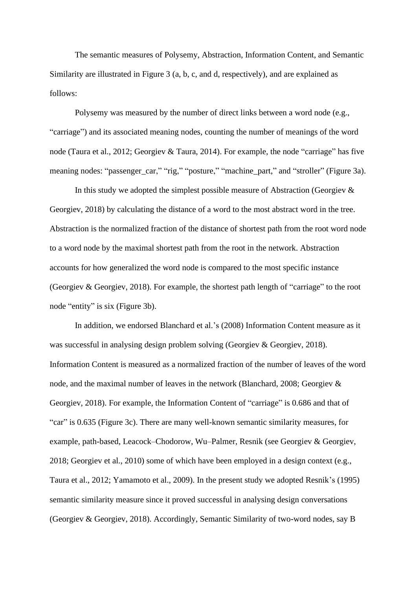The semantic measures of Polysemy, Abstraction, Information Content, and Semantic Similarity are illustrated in Figure 3 (a, b, c, and d, respectively), and are explained as follows:

Polysemy was measured by the number of direct links between a word node (e.g., "carriage") and its associated meaning nodes, counting the number of meanings of the word node (Taura et al., 2012; Georgiev & Taura, 2014). For example, the node "carriage" has five meaning nodes: "passenger\_car," "rig," "posture," "machine\_part," and "stroller" (Figure 3a).

In this study we adopted the simplest possible measure of Abstraction (Georgiev  $\&$ Georgiev, 2018) by calculating the distance of a word to the most abstract word in the tree. Abstraction is the normalized fraction of the distance of shortest path from the root word node to a word node by the maximal shortest path from the root in the network. Abstraction accounts for how generalized the word node is compared to the most specific instance (Georgiev & Georgiev, 2018). For example, the shortest path length of "carriage" to the root node "entity" is six (Figure 3b).

In addition, we endorsed Blanchard et al.'s (2008) Information Content measure as it was successful in analysing design problem solving (Georgiev & Georgiev, 2018). Information Content is measured as a normalized fraction of the number of leaves of the word node, and the maximal number of leaves in the network (Blanchard, 2008; Georgiev & Georgiev, 2018). For example, the Information Content of "carriage" is 0.686 and that of "car" is 0.635 (Figure 3c). There are many well-known semantic similarity measures, for example, path-based, Leacock–Chodorow, Wu–Palmer, Resnik (see Georgiev & Georgiev, 2018; Georgiev et al., 2010) some of which have been employed in a design context (e.g., Taura et al., 2012; Yamamoto et al., 2009). In the present study we adopted Resnik's (1995) semantic similarity measure since it proved successful in analysing design conversations (Georgiev & Georgiev, 2018). Accordingly, Semantic Similarity of two-word nodes, say B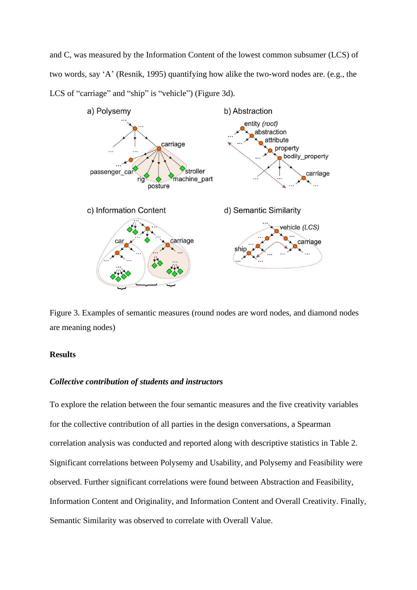and C, was measured by the Information Content of the lowest common subsumer (LCS) of two words, say 'A' (Resnik, 1995) quantifying how alike the two-word nodes are. (e.g., the LCS of "carriage" and "ship" is "vehicle") (Figure 3d).



Figure 3. Examples of semantic measures (round nodes are word nodes, and diamond nodes are meaning nodes)

#### **Results**

#### *Collective contribution of students and instructors*

To explore the relation between the four semantic measures and the five creativity variables for the collective contribution of all parties in the design conversations, a Spearman correlation analysis was conducted and reported along with descriptive statistics in Table 2. Significant correlations between Polysemy and Usability, and Polysemy and Feasibility were observed. Further significant correlations were found between Abstraction and Feasibility, Information Content and Originality, and Information Content and Overall Creativity. Finally, Semantic Similarity was observed to correlate with Overall Value.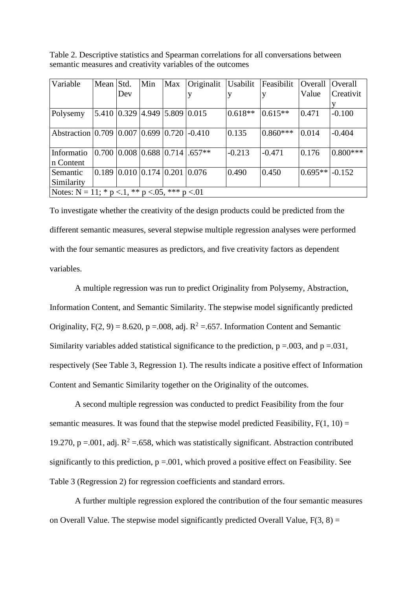| Variable                                                   | Mean Std. |                   | Min                                               | Max         | Originalit                               | Usabilit  | Feasibilit | Overall   | Overall    |
|------------------------------------------------------------|-----------|-------------------|---------------------------------------------------|-------------|------------------------------------------|-----------|------------|-----------|------------|
|                                                            |           | Dev               |                                                   |             |                                          |           |            | Value     | Creativit  |
|                                                            |           |                   |                                                   |             |                                          |           |            |           |            |
| Polysemy                                                   |           | 5.410 0.329 4.949 |                                                   | 5.809 0.015 |                                          | $0.618**$ | $0.615**$  | 0.471     | $-0.100$   |
|                                                            |           |                   |                                                   |             |                                          |           |            |           |            |
| Abstraction 0.709 0.007 0.699 0.720 -0.410                 |           |                   |                                                   |             |                                          | 0.135     | $0.860***$ | 0.014     | $-0.404$   |
|                                                            |           |                   |                                                   |             |                                          |           |            |           |            |
| Informatio                                                 |           |                   |                                                   |             | $0.700$   0.008   0.688   0.714   .657** | $-0.213$  | $-0.471$   | 0.176     | $0.800***$ |
| n Content                                                  |           |                   |                                                   |             |                                          |           |            |           |            |
| Semantic                                                   | 0.189     |                   | $\vert 0.010 \vert 0.174 \vert 0.201 \vert 0.076$ |             |                                          | 0.490     | 0.450      | $0.695**$ | $-0.152$   |
| Similarity                                                 |           |                   |                                                   |             |                                          |           |            |           |            |
| Notes: $N = 11$ ; * $p < 1$ , ** $p < 0.05$ , *** $p < 01$ |           |                   |                                                   |             |                                          |           |            |           |            |

Table 2. Descriptive statistics and Spearman correlations for all conversations between semantic measures and creativity variables of the outcomes

To investigate whether the creativity of the design products could be predicted from the different semantic measures, several stepwise multiple regression analyses were performed with the four semantic measures as predictors, and five creativity factors as dependent variables.

A multiple regression was run to predict Originality from Polysemy, Abstraction, Information Content, and Semantic Similarity. The stepwise model significantly predicted Originality,  $F(2, 9) = 8.620$ ,  $p = .008$ , adj.  $R^2 = .657$ . Information Content and Semantic Similarity variables added statistical significance to the prediction,  $p = .003$ , and  $p = .031$ , respectively (See Table 3, Regression 1). The results indicate a positive effect of Information Content and Semantic Similarity together on the Originality of the outcomes.

A second multiple regression was conducted to predict Feasibility from the four semantic measures. It was found that the stepwise model predicted Feasibility,  $F(1, 10) =$ 19.270, p =.001, adj.  $R^2$  =.658, which was statistically significant. Abstraction contributed significantly to this prediction,  $p = 0.001$ , which proved a positive effect on Feasibility. See Table 3 (Regression 2) for regression coefficients and standard errors.

A further multiple regression explored the contribution of the four semantic measures on Overall Value. The stepwise model significantly predicted Overall Value,  $F(3, 8) =$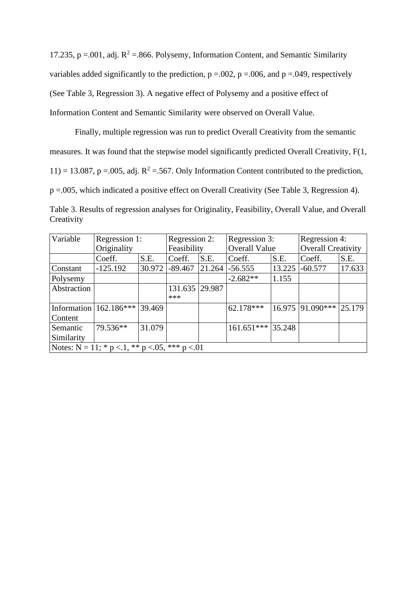17.235, p =.001, adj.  $R^2$  =.866. Polysemy, Information Content, and Semantic Similarity variables added significantly to the prediction,  $p = .002$ ,  $p = .006$ , and  $p = .049$ , respectively (See Table 3, Regression 3). A negative effect of Polysemy and a positive effect of Information Content and Semantic Similarity were observed on Overall Value.

Finally, multiple regression was run to predict Overall Creativity from the semantic measures. It was found that the stepwise model significantly predicted Overall Creativity, F(1, 11) = 13.087, p = 0.05, adj.  $R^2$  = 5.67. Only Information Content contributed to the prediction, p =.005, which indicated a positive effect on Overall Creativity (See Table 3, Regression 4).

| Table 3. Results of regression analyses for Originality, Feasibility, Overall Value, and Overall |  |  |  |  |
|--------------------------------------------------------------------------------------------------|--|--|--|--|
| Creativity                                                                                       |  |  |  |  |

| Variable                                                   | Regression 1:              |        | Regression 2:  |        | Regression 3:        |        | Regression 4:             |        |
|------------------------------------------------------------|----------------------------|--------|----------------|--------|----------------------|--------|---------------------------|--------|
|                                                            | Originality                |        | Feasibility    |        | <b>Overall Value</b> |        | <b>Overall Creativity</b> |        |
|                                                            | Coeff.                     | S.E.   | Coeff.         | S.E.   | Coeff.               | S.E.   | Coeff.                    | S.E.   |
| Constant                                                   | $-125.192$                 | 30.972 | $-89.467$      | 21.264 | $-56.555$            | 13.225 | $-60.577$                 | 17.633 |
| Polysemy                                                   |                            |        |                |        | $-2.682**$           | 1.155  |                           |        |
| Abstraction                                                |                            |        | 131.635 29.987 |        |                      |        |                           |        |
|                                                            |                            |        | ***            |        |                      |        |                           |        |
|                                                            | Information   $162.186***$ | 39.469 |                |        | $62.178***$          |        | $16.975$ 91.090***        | 25.179 |
| Content                                                    |                            |        |                |        |                      |        |                           |        |
| Semantic                                                   | 79.536**                   | 31.079 |                |        | $161.651***$         | 35.248 |                           |        |
| Similarity                                                 |                            |        |                |        |                      |        |                           |        |
| Notes: $N = 11$ ; * $p < 1$ , ** $p < 0.05$ , *** $p < 01$ |                            |        |                |        |                      |        |                           |        |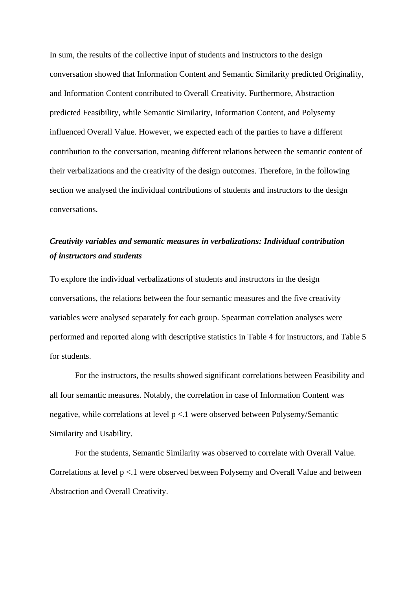In sum, the results of the collective input of students and instructors to the design conversation showed that Information Content and Semantic Similarity predicted Originality, and Information Content contributed to Overall Creativity. Furthermore, Abstraction predicted Feasibility, while Semantic Similarity, Information Content, and Polysemy influenced Overall Value. However, we expected each of the parties to have a different contribution to the conversation, meaning different relations between the semantic content of their verbalizations and the creativity of the design outcomes. Therefore, in the following section we analysed the individual contributions of students and instructors to the design conversations.

# *Creativity variables and semantic measures in verbalizations: Individual contribution of instructors and students*

To explore the individual verbalizations of students and instructors in the design conversations, the relations between the four semantic measures and the five creativity variables were analysed separately for each group. Spearman correlation analyses were performed and reported along with descriptive statistics in Table 4 for instructors, and Table 5 for students.

For the instructors, the results showed significant correlations between Feasibility and all four semantic measures. Notably, the correlation in case of Information Content was negative, while correlations at level p <.1 were observed between Polysemy/Semantic Similarity and Usability.

For the students, Semantic Similarity was observed to correlate with Overall Value. Correlations at level p <.1 were observed between Polysemy and Overall Value and between Abstraction and Overall Creativity.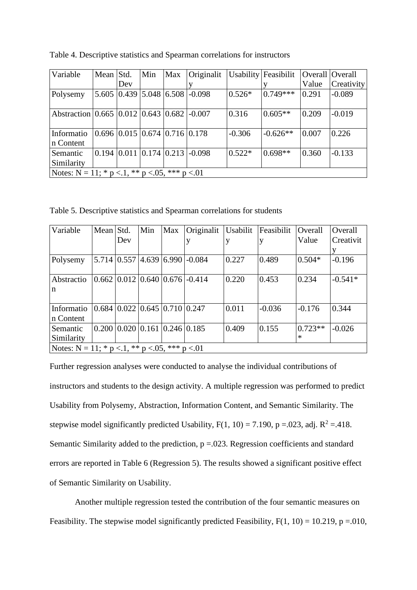| Variable                                                   | Mean Std. |     | Min                                     | Max | Originalit                                                          |          | Usability Feasibilit |       | Overall Overall |
|------------------------------------------------------------|-----------|-----|-----------------------------------------|-----|---------------------------------------------------------------------|----------|----------------------|-------|-----------------|
|                                                            |           | Dev |                                         |     |                                                                     |          |                      | Value | Creativity      |
| Polysemy                                                   |           |     |                                         |     | 5.605 0.439 5.048 6.508 -0.098                                      | $0.526*$ | $0.749***$           | 0.291 | $-0.089$        |
| Abstraction 0.665 0.012 0.643 0.682 -0.007                 |           |     |                                         |     |                                                                     | 0.316    | $0.605**$            | 0.209 | $-0.019$        |
| Informatio<br>n Content                                    |           |     | $0.696$ $0.015$ $0.674$ $0.716$ $0.178$ |     |                                                                     | $-0.306$ | $-0.626**$           | 0.007 | 0.226           |
| Semantic<br>Similarity                                     |           |     |                                         |     | $\vert 0.194 \vert 0.011 \vert 0.174 \vert 0.213 \vert 0.098 \vert$ | $0.522*$ | $0.698**$            | 0.360 | $-0.133$        |
| Notes: $N = 11$ ; * $p < 1$ , ** $p < 0.05$ , *** $p < 01$ |           |     |                                         |     |                                                                     |          |                      |       |                 |

Table 4. Descriptive statistics and Spearman correlations for instructors

Table 5. Descriptive statistics and Spearman correlations for students

| Variable                                                   | Mean Std. |                                                     | Min | Max | Originalit                                           | Usabilit | Feasibilit | Overall   | Overall   |
|------------------------------------------------------------|-----------|-----------------------------------------------------|-----|-----|------------------------------------------------------|----------|------------|-----------|-----------|
|                                                            |           | Dev                                                 |     |     |                                                      | Ŋ        | V          | Value     | Creativit |
|                                                            |           |                                                     |     |     |                                                      |          |            |           |           |
| Polysemy                                                   |           |                                                     |     |     | $5.714 \mid 0.557 \mid 4.639 \mid 6.990 \mid -0.084$ | 0.227    | 0.489      | $0.504*$  | $-0.196$  |
|                                                            |           |                                                     |     |     |                                                      |          |            |           |           |
| Abstractio                                                 |           |                                                     |     |     | $0.662$   $0.012$   $0.640$   $0.676$   $-0.414$     | 0.220    | 0.453      | 0.234     | $-0.541*$ |
| n                                                          |           |                                                     |     |     |                                                      |          |            |           |           |
|                                                            |           |                                                     |     |     |                                                      |          |            |           |           |
| Informatio                                                 |           | $0.684$   0.022   0.645   0.710   0.247             |     |     |                                                      | 0.011    | $-0.036$   | $-0.176$  | 0.344     |
| n Content                                                  |           |                                                     |     |     |                                                      |          |            |           |           |
| Semantic                                                   |           | $0.200 \mid 0.020 \mid 0.161 \mid 0.246 \mid 0.185$ |     |     |                                                      | 0.409    | 0.155      | $0.723**$ | $-0.026$  |
| Similarity                                                 |           |                                                     |     |     |                                                      |          |            | $\ast$    |           |
| Notes: $N = 11$ ; * $p < 1$ , ** $p < 0.05$ , *** $p < 01$ |           |                                                     |     |     |                                                      |          |            |           |           |

Further regression analyses were conducted to analyse the individual contributions of instructors and students to the design activity. A multiple regression was performed to predict Usability from Polysemy, Abstraction, Information Content, and Semantic Similarity. The stepwise model significantly predicted Usability,  $F(1, 10) = 7.190$ , p =.023, adj.  $R^2 = .418$ . Semantic Similarity added to the prediction,  $p = 0.023$ . Regression coefficients and standard errors are reported in Table 6 (Regression 5). The results showed a significant positive effect of Semantic Similarity on Usability.

Another multiple regression tested the contribution of the four semantic measures on Feasibility. The stepwise model significantly predicted Feasibility,  $F(1, 10) = 10.219$ ,  $p = .010$ ,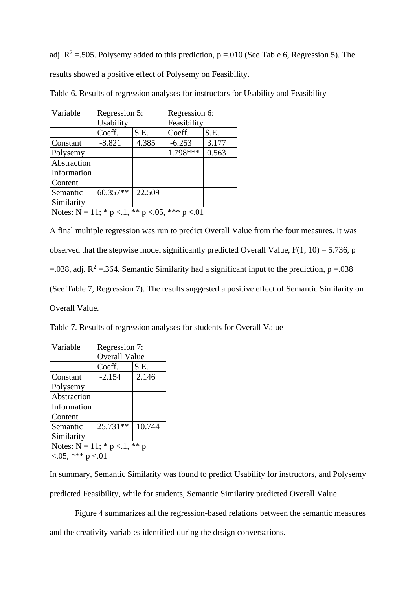adj.  $R^2 = 505$ . Polysemy added to this prediction, p = 0.010 (See Table 6, Regression 5). The results showed a positive effect of Polysemy on Feasibility.

| Variable                                                       | Regression 5: |        | Regression 6: |       |  |  |  |
|----------------------------------------------------------------|---------------|--------|---------------|-------|--|--|--|
|                                                                | Usability     |        | Feasibility   |       |  |  |  |
|                                                                | Coeff.        | S.E.   | Coeff.        | S.E.  |  |  |  |
| Constant                                                       | $-8.821$      | 4.385  | $-6.253$      | 3.177 |  |  |  |
| Polysemy                                                       |               |        | 1.798***      | 0.563 |  |  |  |
| Abstraction                                                    |               |        |               |       |  |  |  |
| Information                                                    |               |        |               |       |  |  |  |
| Content                                                        |               |        |               |       |  |  |  |
| Semantic                                                       | 60.357**      | 22.509 |               |       |  |  |  |
| Similarity                                                     |               |        |               |       |  |  |  |
| Notes: $N = 11$ ; * $p < 1$ , ** $p < 0.05$ ,<br>***<br>< 0.01 |               |        |               |       |  |  |  |

Table 6. Results of regression analyses for instructors for Usability and Feasibility

A final multiple regression was run to predict Overall Value from the four measures. It was observed that the stepwise model significantly predicted Overall Value,  $F(1, 10) = 5.736$ , p =.038, adj.  $R^2$  =.364. Semantic Similarity had a significant input to the prediction, p =.038 (See Table 7, Regression 7). The results suggested a positive effect of Semantic Similarity on Overall Value.

Table 7. Results of regression analyses for students for Overall Value

| Variable                             | Regression 7:        |        |  |  |  |  |
|--------------------------------------|----------------------|--------|--|--|--|--|
|                                      | <b>Overall Value</b> |        |  |  |  |  |
|                                      | Coeff.               | S.E.   |  |  |  |  |
| Constant                             | $-2.154$             | 2.146  |  |  |  |  |
| Polysemy                             |                      |        |  |  |  |  |
| Abstraction                          |                      |        |  |  |  |  |
| Information                          |                      |        |  |  |  |  |
| Content                              |                      |        |  |  |  |  |
| Semantic                             | $25.731**$           | 10.744 |  |  |  |  |
| Similarity                           |                      |        |  |  |  |  |
| Notes: $N = 11$ ; * $p < 1$ , ** $p$ |                      |        |  |  |  |  |
| $< 0.05$ , *** p $< 0.01$            |                      |        |  |  |  |  |

In summary, Semantic Similarity was found to predict Usability for instructors, and Polysemy predicted Feasibility, while for students, Semantic Similarity predicted Overall Value.

Figure 4 summarizes all the regression-based relations between the semantic measures and the creativity variables identified during the design conversations.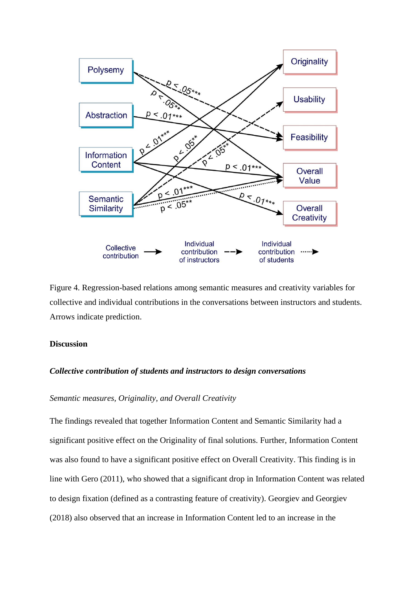

Figure 4. Regression-based relations among semantic measures and creativity variables for collective and individual contributions in the conversations between instructors and students. Arrows indicate prediction.

### **Discussion**

#### *Collective contribution of students and instructors to design conversations*

## *Semantic measures, Originality, and Overall Creativity*

The findings revealed that together Information Content and Semantic Similarity had a significant positive effect on the Originality of final solutions. Further, Information Content was also found to have a significant positive effect on Overall Creativity. This finding is in line with Gero (2011), who showed that a significant drop in Information Content was related to design fixation (defined as a contrasting feature of creativity). Georgiev and Georgiev (2018) also observed that an increase in Information Content led to an increase in the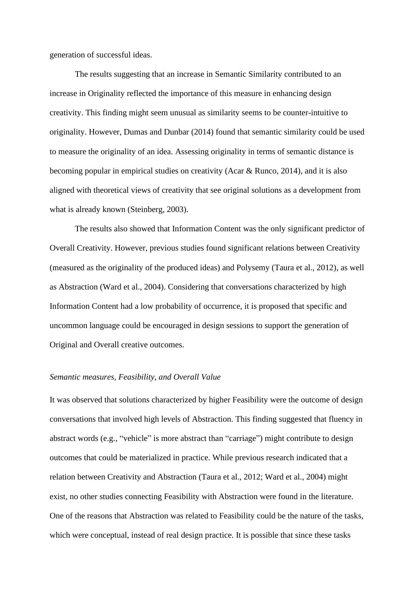generation of successful ideas.

The results suggesting that an increase in Semantic Similarity contributed to an increase in Originality reflected the importance of this measure in enhancing design creativity. This finding might seem unusual as similarity seems to be counter-intuitive to originality. However, Dumas and Dunbar (2014) found that semantic similarity could be used to measure the originality of an idea. Assessing originality in terms of semantic distance is becoming popular in empirical studies on creativity (Acar & Runco, 2014), and it is also aligned with theoretical views of creativity that see original solutions as a development from what is already known (Steinberg, 2003).

The results also showed that Information Content was the only significant predictor of Overall Creativity. However, previous studies found significant relations between Creativity (measured as the originality of the produced ideas) and Polysemy (Taura et al., 2012), as well as Abstraction (Ward et al., 2004). Considering that conversations characterized by high Information Content had a low probability of occurrence, it is proposed that specific and uncommon language could be encouraged in design sessions to support the generation of Original and Overall creative outcomes.

#### *Semantic measures, Feasibility, and Overall Value*

It was observed that solutions characterized by higher Feasibility were the outcome of design conversations that involved high levels of Abstraction. This finding suggested that fluency in abstract words (e.g., "vehicle" is more abstract than "carriage") might contribute to design outcomes that could be materialized in practice. While previous research indicated that a relation between Creativity and Abstraction (Taura et al., 2012; Ward et al., 2004) might exist, no other studies connecting Feasibility with Abstraction were found in the literature. One of the reasons that Abstraction was related to Feasibility could be the nature of the tasks, which were conceptual, instead of real design practice. It is possible that since these tasks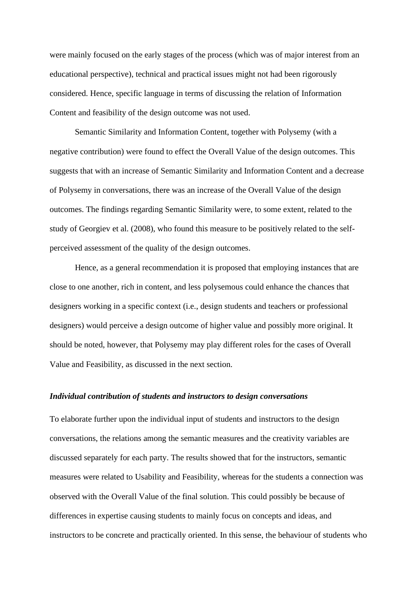were mainly focused on the early stages of the process (which was of major interest from an educational perspective), technical and practical issues might not had been rigorously considered. Hence, specific language in terms of discussing the relation of Information Content and feasibility of the design outcome was not used.

Semantic Similarity and Information Content, together with Polysemy (with a negative contribution) were found to effect the Overall Value of the design outcomes. This suggests that with an increase of Semantic Similarity and Information Content and a decrease of Polysemy in conversations, there was an increase of the Overall Value of the design outcomes. The findings regarding Semantic Similarity were, to some extent, related to the study of Georgiev et al. (2008), who found this measure to be positively related to the selfperceived assessment of the quality of the design outcomes.

Hence, as a general recommendation it is proposed that employing instances that are close to one another, rich in content, and less polysemous could enhance the chances that designers working in a specific context (i.e., design students and teachers or professional designers) would perceive a design outcome of higher value and possibly more original. It should be noted, however, that Polysemy may play different roles for the cases of Overall Value and Feasibility, as discussed in the next section.

### *Individual contribution of students and instructors to design conversations*

To elaborate further upon the individual input of students and instructors to the design conversations, the relations among the semantic measures and the creativity variables are discussed separately for each party. The results showed that for the instructors, semantic measures were related to Usability and Feasibility, whereas for the students a connection was observed with the Overall Value of the final solution. This could possibly be because of differences in expertise causing students to mainly focus on concepts and ideas, and instructors to be concrete and practically oriented. In this sense, the behaviour of students who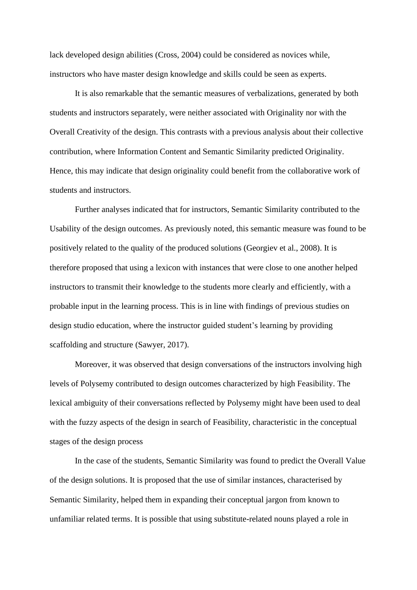lack developed design abilities (Cross, 2004) could be considered as novices while, instructors who have master design knowledge and skills could be seen as experts.

It is also remarkable that the semantic measures of verbalizations, generated by both students and instructors separately, were neither associated with Originality nor with the Overall Creativity of the design. This contrasts with a previous analysis about their collective contribution, where Information Content and Semantic Similarity predicted Originality. Hence, this may indicate that design originality could benefit from the collaborative work of students and instructors.

Further analyses indicated that for instructors, Semantic Similarity contributed to the Usability of the design outcomes. As previously noted, this semantic measure was found to be positively related to the quality of the produced solutions (Georgiev et al., 2008). It is therefore proposed that using a lexicon with instances that were close to one another helped instructors to transmit their knowledge to the students more clearly and efficiently, with a probable input in the learning process. This is in line with findings of previous studies on design studio education, where the instructor guided student's learning by providing scaffolding and structure (Sawyer, 2017).

Moreover, it was observed that design conversations of the instructors involving high levels of Polysemy contributed to design outcomes characterized by high Feasibility. The lexical ambiguity of their conversations reflected by Polysemy might have been used to deal with the fuzzy aspects of the design in search of Feasibility, characteristic in the conceptual stages of the design process

In the case of the students, Semantic Similarity was found to predict the Overall Value of the design solutions. It is proposed that the use of similar instances, characterised by Semantic Similarity, helped them in expanding their conceptual jargon from known to unfamiliar related terms. It is possible that using substitute-related nouns played a role in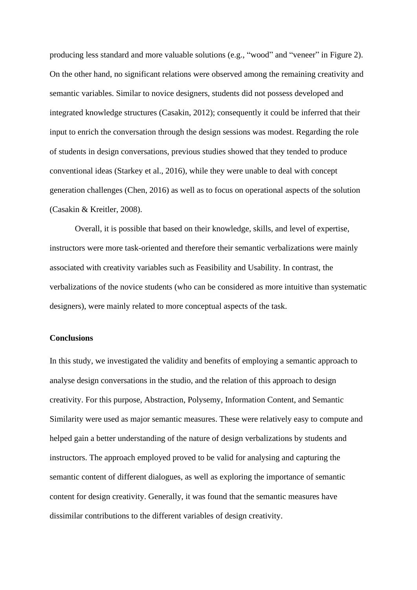producing less standard and more valuable solutions (e.g., "wood" and "veneer" in Figure 2). On the other hand, no significant relations were observed among the remaining creativity and semantic variables. Similar to novice designers, students did not possess developed and integrated knowledge structures (Casakin, 2012); consequently it could be inferred that their input to enrich the conversation through the design sessions was modest. Regarding the role of students in design conversations, previous studies showed that they tended to produce conventional ideas (Starkey et al., 2016), while they were unable to deal with concept generation challenges (Chen, 2016) as well as to focus on operational aspects of the solution (Casakin & Kreitler, 2008).

Overall, it is possible that based on their knowledge, skills, and level of expertise, instructors were more task-oriented and therefore their semantic verbalizations were mainly associated with creativity variables such as Feasibility and Usability. In contrast, the verbalizations of the novice students (who can be considered as more intuitive than systematic designers), were mainly related to more conceptual aspects of the task.

#### **Conclusions**

In this study, we investigated the validity and benefits of employing a semantic approach to analyse design conversations in the studio, and the relation of this approach to design creativity. For this purpose, Abstraction, Polysemy, Information Content, and Semantic Similarity were used as major semantic measures. These were relatively easy to compute and helped gain a better understanding of the nature of design verbalizations by students and instructors. The approach employed proved to be valid for analysing and capturing the semantic content of different dialogues, as well as exploring the importance of semantic content for design creativity. Generally, it was found that the semantic measures have dissimilar contributions to the different variables of design creativity.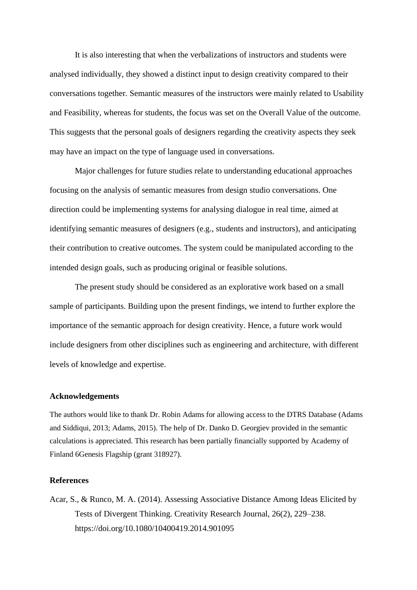It is also interesting that when the verbalizations of instructors and students were analysed individually, they showed a distinct input to design creativity compared to their conversations together. Semantic measures of the instructors were mainly related to Usability and Feasibility, whereas for students, the focus was set on the Overall Value of the outcome. This suggests that the personal goals of designers regarding the creativity aspects they seek may have an impact on the type of language used in conversations.

Major challenges for future studies relate to understanding educational approaches focusing on the analysis of semantic measures from design studio conversations. One direction could be implementing systems for analysing dialogue in real time, aimed at identifying semantic measures of designers (e.g., students and instructors), and anticipating their contribution to creative outcomes. The system could be manipulated according to the intended design goals, such as producing original or feasible solutions.

The present study should be considered as an explorative work based on a small sample of participants. Building upon the present findings, we intend to further explore the importance of the semantic approach for design creativity. Hence, a future work would include designers from other disciplines such as engineering and architecture, with different levels of knowledge and expertise.

#### **Acknowledgements**

The authors would like to thank Dr. Robin Adams for allowing access to the DTRS Database (Adams and Siddiqui, 2013; Adams, 2015). The help of Dr. Danko D. Georgiev provided in the semantic calculations is appreciated. This research has been partially financially supported by Academy of Finland 6Genesis Flagship (grant 318927).

#### **References**

Acar, S., & Runco, M. A. (2014). Assessing Associative Distance Among Ideas Elicited by Tests of Divergent Thinking. Creativity Research Journal, 26(2), 229–238. https://doi.org/10.1080/10400419.2014.901095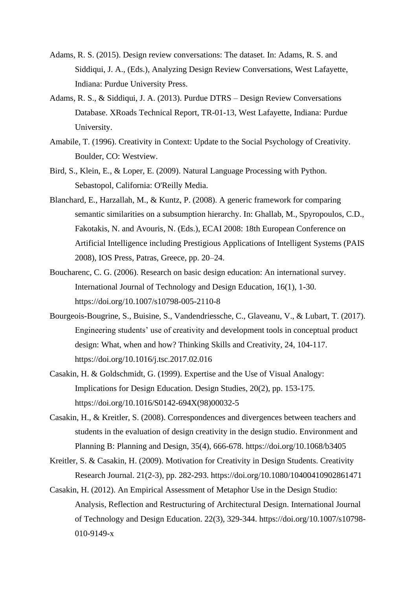- Adams, R. S. (2015). Design review conversations: The dataset. In: Adams, R. S. and Siddiqui, J. A., (Eds.), Analyzing Design Review Conversations, West Lafayette, Indiana: Purdue University Press.
- Adams, R. S., & Siddiqui, J. A. (2013). Purdue DTRS Design Review Conversations Database. XRoads Technical Report, TR-01-13, West Lafayette, Indiana: Purdue University.
- Amabile, T. (1996). Creativity in Context: Update to the Social Psychology of Creativity. Boulder, CO: Westview.
- Bird, S., Klein, E., & Loper, E. (2009). Natural Language Processing with Python. Sebastopol, California: O'Reilly Media.
- Blanchard, E., Harzallah, M., & Kuntz, P. (2008). A generic framework for comparing semantic similarities on a subsumption hierarchy. In: Ghallab, M., Spyropoulos, C.D., Fakotakis, N. and Avouris, N. (Eds.), ECAI 2008: 18th European Conference on Artificial Intelligence including Prestigious Applications of Intelligent Systems (PAIS 2008), IOS Press, Patras, Greece, pp. 20–24.
- Boucharenc, C. G. (2006). Research on basic design education: An international survey. International Journal of Technology and Design Education, 16(1), 1-30. https://doi.org/10.1007/s10798-005-2110-8
- Bourgeois-Bougrine, S., Buisine, S., Vandendriessche, C., Glaveanu, V., & Lubart, T. (2017). Engineering students' use of creativity and development tools in conceptual product design: What, when and how? Thinking Skills and Creativity, 24, 104-117. https://doi.org/10.1016/j.tsc.2017.02.016
- Casakin, H. & Goldschmidt, G. (1999). Expertise and the Use of Visual Analogy: Implications for Design Education. Design Studies, 20(2), pp. 153-175. https://doi.org/10.1016/S0142-694X(98)00032-5
- Casakin, H., & Kreitler, S. (2008). Correspondences and divergences between teachers and students in the evaluation of design creativity in the design studio. Environment and Planning B: Planning and Design, 35(4), 666-678. https://doi.org/10.1068/b3405
- Kreitler, S. & Casakin, H. (2009). Motivation for Creativity in Design Students. Creativity Research Journal. 21(2-3), pp. 282-293. https://doi.org/10.1080/10400410902861471
- Casakin, H. (2012). An Empirical Assessment of Metaphor Use in the Design Studio: Analysis, Reflection and Restructuring of Architectural Design. International Journal of Technology and Design Education. 22(3), 329-344. https://doi.org/10.1007/s10798- 010-9149-x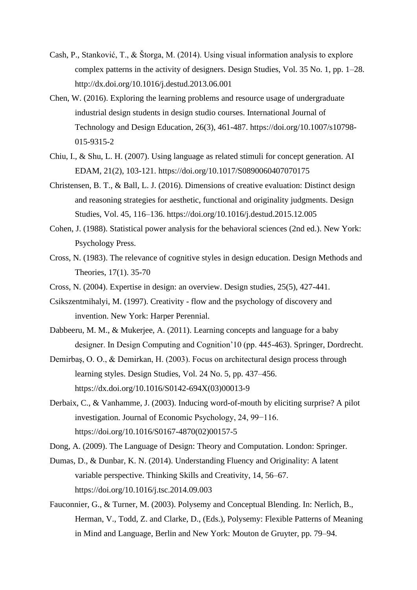- Cash, P., Stanković, T., & Štorga, M. (2014). Using visual information analysis to explore complex patterns in the activity of designers. Design Studies, Vol. 35 No. 1, pp. 1–28. http://dx.doi.org/10.1016/j.destud.2013.06.001
- Chen, W. (2016). Exploring the learning problems and resource usage of undergraduate industrial design students in design studio courses. International Journal of Technology and Design Education, 26(3), 461-487. https://doi.org/10.1007/s10798- 015-9315-2
- Chiu, I., & Shu, L. H. (2007). Using language as related stimuli for concept generation. AI EDAM, 21(2), 103-121. https://doi.org/10.1017/S0890060407070175
- Christensen, B. T., & Ball, L. J. (2016). Dimensions of creative evaluation: Distinct design and reasoning strategies for aesthetic, functional and originality judgments. Design Studies, Vol. 45, 116–136. https://doi.org/10.1016/j.destud.2015.12.005
- Cohen, J. (1988). Statistical power analysis for the behavioral sciences (2nd ed.). New York: Psychology Press.
- Cross, N. (1983). The relevance of cognitive styles in design education. Design Methods and Theories, 17(1). 35-70
- Cross, N. (2004). Expertise in design: an overview. Design studies, 25(5), 427-441.
- Csikszentmihalyi, M. (1997). Creativity flow and the psychology of discovery and invention. New York: Harper Perennial.
- Dabbeeru, M. M., & Mukerjee, A. (2011). Learning concepts and language for a baby designer. In Design Computing and Cognition'10 (pp. 445-463). Springer, Dordrecht.
- Demirbaş, O. O., & Demirkan, H. (2003). Focus on architectural design process through learning styles. Design Studies, Vol. 24 No. 5, pp. 437–456. https://dx.doi.org/10.1016/S0142-694X(03)00013-9
- Derbaix, C., & Vanhamme, J. (2003). Inducing word-of-mouth by eliciting surprise? A pilot investigation. Journal of Economic Psychology, 24, 99−116. https://doi.org/10.1016/S0167-4870(02)00157-5
- Dong, A. (2009). The Language of Design: Theory and Computation. London: Springer.
- Dumas, D., & Dunbar, K. N. (2014). Understanding Fluency and Originality: A latent variable perspective. Thinking Skills and Creativity, 14, 56–67. https://doi.org/10.1016/j.tsc.2014.09.003
- Fauconnier, G., & Turner, M. (2003). Polysemy and Conceptual Blending. In: Nerlich, B., Herman, V., Todd, Z. and Clarke, D., (Eds.), Polysemy: Flexible Patterns of Meaning in Mind and Language, Berlin and New York: Mouton de Gruyter, pp. 79–94.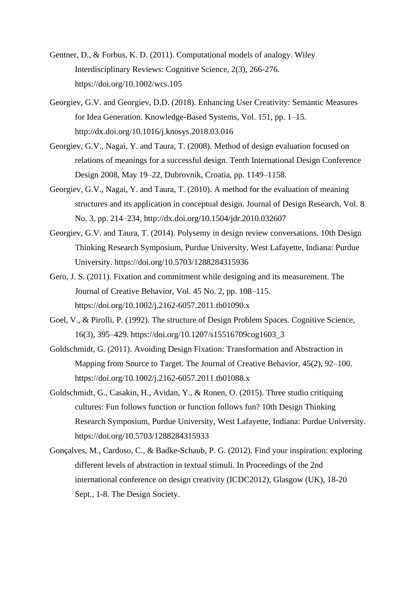- Gentner, D., & Forbus, K. D. (2011). Computational models of analogy. Wiley Interdisciplinary Reviews: Cognitive Science, 2(3), 266-276. https://doi.org/10.1002/wcs.105
- Georgiev, G.V. and Georgiev, D.D. (2018). Enhancing User Creativity: Semantic Measures for Idea Generation. Knowledge-Based Systems, Vol. 151, pp. 1–15. http://dx.doi.org/10.1016/j.knosys.2018.03.016
- Georgiev, G.V., Nagai, Y. and Taura, T. (2008). Method of design evaluation focused on relations of meanings for a successful design. Tenth International Design Conference Design 2008, May 19–22, Dubrovnik, Croatia, pp. 1149–1158.
- Georgiev, G.V., Nagai, Y. and Taura, T. (2010). A method for the evaluation of meaning structures and its application in conceptual design. Journal of Design Research, Vol. 8 No. 3, pp. 214–234, http://dx.doi.org/10.1504/jdr.2010.032607
- Georgiev, G.V. and Taura, T. (2014). Polysemy in design review conversations. 10th Design Thinking Research Symposium, Purdue University, West Lafayette, Indiana: Purdue University. https://doi.org/10.5703/1288284315936
- Gero, J. S. (2011). Fixation and commitment while designing and its measurement. The Journal of Creative Behavior, Vol. 45 No. 2, pp. 108–115. https://doi.org/10.1002/j.2162-6057.2011.tb01090.x
- Goel, V., & Pirolli, P. (1992). The structure of Design Problem Spaces. Cognitive Science, 16(3), 395–429. https://doi.org/10.1207/s15516709cog1603\_3
- Goldschmidt, G. (2011). Avoiding Design Fixation: Transformation and Abstraction in Mapping from Source to Target. The Journal of Creative Behavior, 45(2), 92–100. https://doi.org/10.1002/j.2162-6057.2011.tb01088.x
- Goldschmidt, G., Casakin, H., Avidan, Y., & Ronen, O. (2015). Three studio critiquing cultures: Fun follows function or function follows fun? 10th Design Thinking Research Symposium, Purdue University, West Lafayette, Indiana: Purdue University. https://doi.org/10.5703/1288284315933
- Gonçalves, M., Cardoso, C., & Badke-Schaub, P. G. (2012). Find your inspiration: exploring different levels of abstraction in textual stimuli. In Proceedings of the 2nd international conference on design creativity (ICDC2012), Glasgow (UK), 18-20 Sept., 1-8. The Design Society.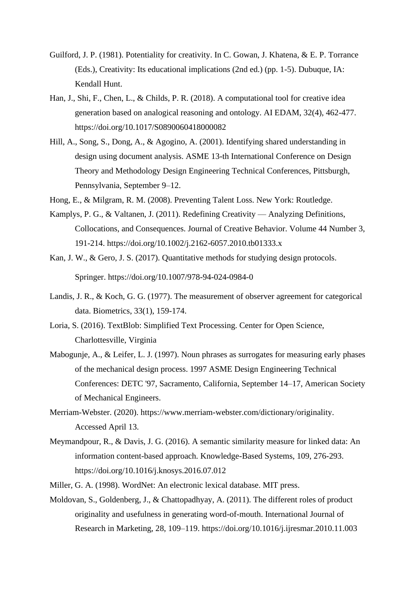- Guilford, J. P. (1981). Potentiality for creativity. In C. Gowan, J. Khatena, & E. P. Torrance (Eds.), Creativity: Its educational implications (2nd ed.) (pp. 1-5). Dubuque, IA: Kendall Hunt.
- Han, J., Shi, F., Chen, L., & Childs, P. R. (2018). A computational tool for creative idea generation based on analogical reasoning and ontology. AI EDAM, 32(4), 462-477. https://doi.org/10.1017/S0890060418000082
- Hill, A., Song, S., Dong, A., & Agogino, A. (2001). Identifying shared understanding in design using document analysis. ASME 13-th International Conference on Design Theory and Methodology Design Engineering Technical Conferences, Pittsburgh, Pennsylvania, September 9–12.
- Hong, E., & Milgram, R. M. (2008). Preventing Talent Loss. New York: Routledge.
- Kamplys, P. G., & Valtanen, J. (2011). Redefining Creativity Analyzing Definitions, Collocations, and Consequences. Journal of Creative Behavior. Volume 44 Number 3, 191-214. https://doi.org/10.1002/j.2162-6057.2010.tb01333.x
- Kan, J. W., & Gero, J. S. (2017). Quantitative methods for studying design protocols. Springer. https://doi.org/10.1007/978-94-024-0984-0
- Landis, J. R., & Koch, G. G. (1977). The measurement of observer agreement for categorical data. Biometrics, 33(1), 159-174.
- Loria, S. (2016). TextBlob: Simplified Text Processing. Center for Open Science, Charlottesville, Virginia
- Mabogunje, A., & Leifer, L. J. (1997). Noun phrases as surrogates for measuring early phases of the mechanical design process. 1997 ASME Design Engineering Technical Conferences: DETC '97, Sacramento, California, September 14–17, American Society of Mechanical Engineers.
- Merriam-Webster. (2020). [https://www.merriam-webster.com/dictionary/originality.](https://www.merriam-webster.com/dictionary/originality) Accessed April 13.
- Meymandpour, R., & Davis, J. G. (2016). A semantic similarity measure for linked data: An information content-based approach. Knowledge-Based Systems, 109, 276-293. https://doi.org/10.1016/j.knosys.2016.07.012
- Miller, G. A. (1998). WordNet: An electronic lexical database. MIT press.
- Moldovan, S., Goldenberg, J., & Chattopadhyay, A. (2011). The different roles of product originality and usefulness in generating word-of-mouth. International Journal of Research in Marketing, 28, 109–119. https://doi.org/10.1016/j.ijresmar.2010.11.003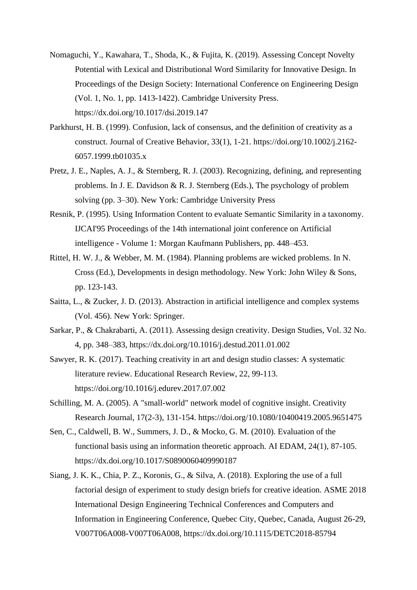- Nomaguchi, Y., Kawahara, T., Shoda, K., & Fujita, K. (2019). Assessing Concept Novelty Potential with Lexical and Distributional Word Similarity for Innovative Design. In Proceedings of the Design Society: International Conference on Engineering Design (Vol. 1, No. 1, pp. 1413-1422). Cambridge University Press. https://dx.doi.org/10.1017/dsi.2019.147
- Parkhurst, H. B. (1999). Confusion, lack of consensus, and the definition of creativity as a construct. Journal of Creative Behavior, 33(1), 1-21. https://doi.org/10.1002/j.2162- 6057.1999.tb01035.x
- Pretz, J. E., Naples, A. J., & Sternberg, R. J. (2003). Recognizing, defining, and representing problems. In J. E. Davidson & R. J. Sternberg (Eds.), The psychology of problem solving (pp. 3–30). New York: Cambridge University Press
- Resnik, P. (1995). Using Information Content to evaluate Semantic Similarity in a taxonomy. IJCAI'95 Proceedings of the 14th international joint conference on Artificial intelligence - Volume 1: Morgan Kaufmann Publishers, pp. 448–453.
- Rittel, H. W. J., & Webber, M. M. (1984). Planning problems are wicked problems. In N. Cross (Ed.), Developments in design methodology. New York: John Wiley & Sons, pp. 123-143.
- Saitta, L., & Zucker, J. D. (2013). Abstraction in artificial intelligence and complex systems (Vol. 456). New York: Springer.
- Sarkar, P., & Chakrabarti, A. (2011). Assessing design creativity. Design Studies, Vol. 32 No. 4, pp. 348–383, https://dx.doi.org/10.1016/j.destud.2011.01.002
- Sawyer, R. K. (2017). Teaching creativity in art and design studio classes: A systematic literature review. Educational Research Review, 22, 99-113. https://doi.org/10.1016/j.edurev.2017.07.002
- Schilling, M. A. (2005). A "small-world" network model of cognitive insight. Creativity Research Journal, 17(2-3), 131-154. https://doi.org/10.1080/10400419.2005.9651475
- Sen, C., Caldwell, B. W., Summers, J. D., & Mocko, G. M. (2010). Evaluation of the functional basis using an information theoretic approach. AI EDAM, 24(1), 87-105. https://dx.doi.org/10.1017/S0890060409990187
- Siang, J. K. K., Chia, P. Z., Koronis, G., & Silva, A. (2018). Exploring the use of a full factorial design of experiment to study design briefs for creative ideation. ASME 2018 International Design Engineering Technical Conferences and Computers and Information in Engineering Conference, Quebec City, Quebec, Canada, August 26-29, V007T06A008-V007T06A008, https://dx.doi.org/10.1115/DETC2018-85794